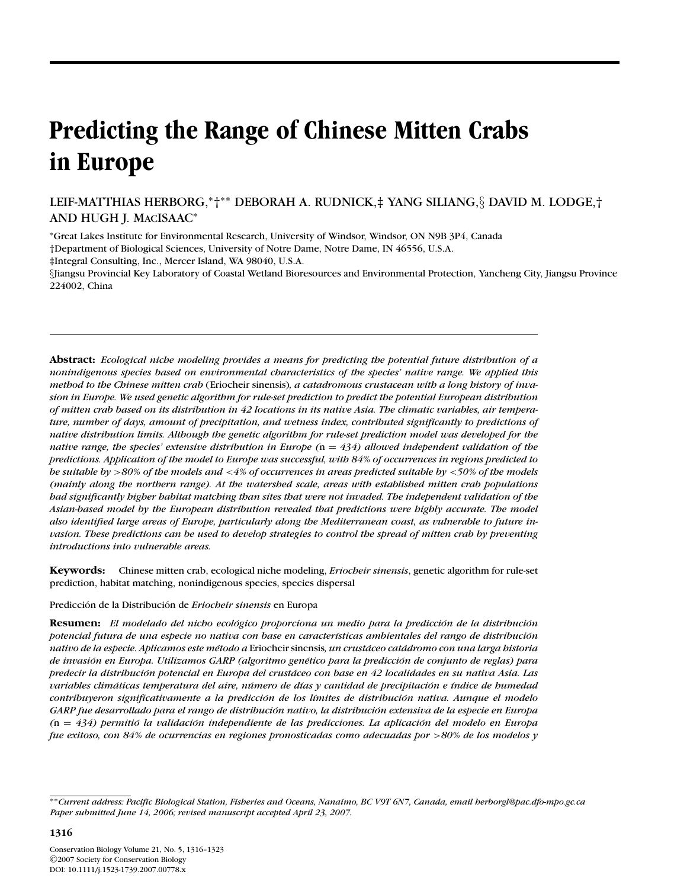# **Predicting the Range of Chinese Mitten Crabs in Europe**

LEIF-MATTHIAS HERBORG,∗†∗∗ DEBORAH A. RUDNICK,‡ YANG SILIANG,§ DAVID M. LODGE,† AND HUGH J. MACISAAC<sup>∗</sup>

<sup>∗</sup>Great Lakes Institute for Environmental Research, University of Windsor, Windsor, ON N9B 3P4, Canada †Department of Biological Sciences, University of Notre Dame, Notre Dame, IN 46556, U.S.A.

‡Integral Consulting, Inc., Mercer Island, WA 98040, U.S.A.

§Jiangsu Provincial Key Laboratory of Coastal Wetland Bioresources and Environmental Protection, Yancheng City, Jiangsu Province 224002, China

**Abstract:** *Ecological niche modeling provides a means for predicting the potential future distribution of a nonindigenous species based on environmental characteristics of the species' native range. We applied this method to the Chinese mitten crab* (Eriocheir sinensis)*, a catadromous crustacean with a long history of invasion in Europe. We used genetic algorithm for rule-set prediction to predict the potential European distribution of mitten crab based on its distribution in 42 locations in its native Asia. The climatic variables, air temperature, number of days, amount of precipitation, and wetness index, contributed significantly to predictions of native distribution limits. Although the genetic algorithm for rule-set prediction model was developed for the native range, the species' extensive distribution in Europe (*n = *434) allowed independent validation of the predictions. Application of the model to Europe was successful, with 84% of occurrences in regions predicted to be suitable by* >*80% of the models and* <*4% of occurrences in areas predicted suitable by* <*50% of the models (mainly along the northern range). At the watershed scale, areas with established mitten crab populations had significantly higher habitat matching than sites that were not invaded. The independent validation of the Asian-based model by the European distribution revealed that predictions were highly accurate. The model also identified large areas of Europe, particularly along the Mediterranean coast, as vulnerable to future invasion. These predictions can be used to develop strategies to control the spread of mitten crab by preventing introductions into vulnerable areas.*

**Keywords:** Chinese mitten crab, ecological niche modeling, *Eriocheir sinensis*, genetic algorithm for rule-set prediction, habitat matching, nonindigenous species, species dispersal

Predicción de la Distribución de **Eriocheir sinensis** en Europa

**Resumen:** *El modelado del nicho ecológico proporciona un medio para la predicción de la distribución potencial futura de una especie no nativa con base en caracter´ısticas ambientales del rango de distribucion´ nativo de la especie. Aplicamos este m´etodo a* Eriocheir sinensis*, un crustaceo cat ´ adromo con una larga historia ´ de invasion en Europa. Utilizamos GARP (algoritmo gen ´ ´etico para la prediccion de conjunto de reglas) para ´ predecir la distribucion potencial en Europa del crust ´ aceo con base en 42 localidades en su nativa Asia. Las ´ variables climaticas temperatura del aire, n ´ umero de d ´ ´ıas y cantidad de precipitacion e ´ ´ındice de humedad contribuyeron significativamente a la prediccion de los l ´ ´ımites de distribucion nativa. Aunque el modelo ´ GARP fue desarrollado para el rango de distribucion nativo, la distribuci ´ on extensiva de la especie en Europa ´ (*n = *434) permitio la validaci ´ on independiente de las predicciones. La aplicaci ´ on del modelo en Europa ´ fue exitoso, con 84% de ocurrencias en regiones pronosticadas como adecuadas por* >*80% de los modelos y*

<sup>∗∗</sup>*Current address: Pacific Biological Station, Fisheries and Oceans, Nanaimo, BC V9T 6N7, Canada, email herborgl@pac.dfo-mpo.gc.ca Paper submitted June 14, 2006; revised manuscript accepted April 23, 2007.*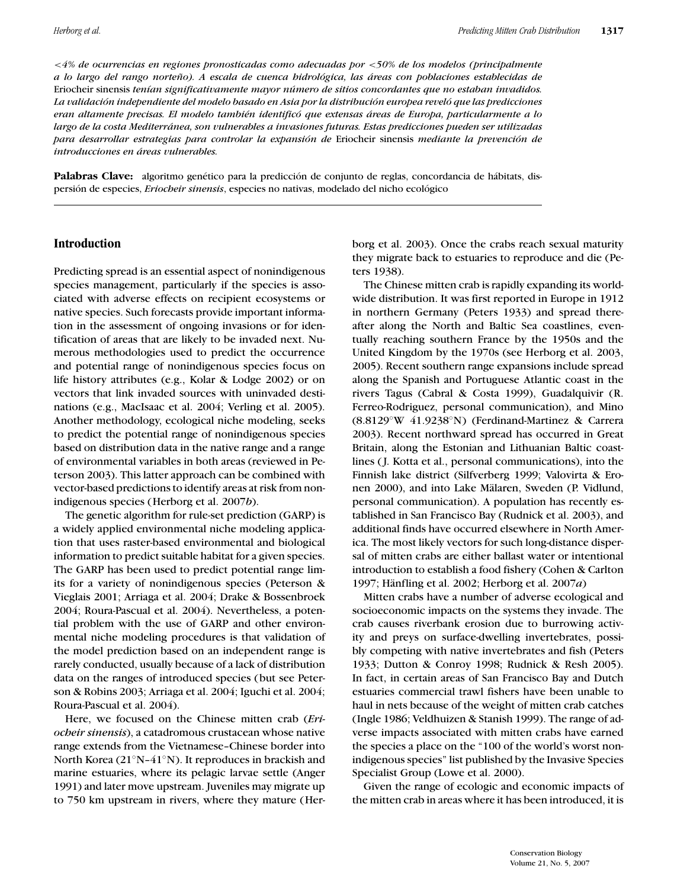<*4% de ocurrencias en regiones pronosticadas como adecuadas por* <*50% de los modelos (principalmente a lo largo del rango norteno). A escala de cuenca hidrol ˜ ogica, las ´ areas con poblaciones establecidas de ´* Eriocheir sinensis *ten´ıan significativamente mayor numero de sitios concordantes que no estaban invadidos. ´ La validacion independiente del modelo basado en Asia por la distribuci ´ on europea revel ´ o que las predicciones ´ eran altamente precisas. El modelo tambi´en identifico que extensas ´ areas de Europa, particularmente a lo ´ largo de la costa Mediterranea, son vulnerables a invasiones futuras. Estas predicciones pueden ser utilizadas ´ para desarrollar estrategias para controlar la expansion de ´* Eriocheir sinensis *mediante la prevencion de ´ introducciones en areas vulnerables. ´*

Palabras Clave: algoritmo genético para la predicción de conjunto de reglas, concordancia de hábitats, dispersión de especies, *Eriocheir sinensis*, especies no nativas, modelado del nicho ecológico

#### **Introduction**

Predicting spread is an essential aspect of nonindigenous species management, particularly if the species is associated with adverse effects on recipient ecosystems or native species. Such forecasts provide important information in the assessment of ongoing invasions or for identification of areas that are likely to be invaded next. Numerous methodologies used to predict the occurrence and potential range of nonindigenous species focus on life history attributes (e.g., Kolar & Lodge 2002) or on vectors that link invaded sources with uninvaded destinations (e.g., MacIsaac et al. 2004; Verling et al. 2005). Another methodology, ecological niche modeling, seeks to predict the potential range of nonindigenous species based on distribution data in the native range and a range of environmental variables in both areas (reviewed in Peterson 2003). This latter approach can be combined with vector-based predictions to identify areas at risk from nonindigenous species (Herborg et al. 2007*b*).

The genetic algorithm for rule-set prediction (GARP) is a widely applied environmental niche modeling application that uses raster-based environmental and biological information to predict suitable habitat for a given species. The GARP has been used to predict potential range limits for a variety of nonindigenous species (Peterson & Vieglais 2001; Arriaga et al. 2004; Drake & Bossenbroek 2004; Roura-Pascual et al. 2004). Nevertheless, a potential problem with the use of GARP and other environmental niche modeling procedures is that validation of the model prediction based on an independent range is rarely conducted, usually because of a lack of distribution data on the ranges of introduced species (but see Peterson & Robins 2003; Arriaga et al. 2004; Iguchi et al. 2004; Roura-Pascual et al. 2004).

Here, we focused on the Chinese mitten crab (*Eriocheir sinensis*), a catadromous crustacean whose native range extends from the Vietnamese–Chinese border into North Korea (21◦N–41◦N). It reproduces in brackish and marine estuaries, where its pelagic larvae settle (Anger 1991) and later move upstream. Juveniles may migrate up to 750 km upstream in rivers, where they mature (Herborg et al. 2003). Once the crabs reach sexual maturity they migrate back to estuaries to reproduce and die (Peters 1938).

The Chinese mitten crab is rapidly expanding its worldwide distribution. It was first reported in Europe in 1912 in northern Germany (Peters 1933) and spread thereafter along the North and Baltic Sea coastlines, eventually reaching southern France by the 1950s and the United Kingdom by the 1970s (see Herborg et al. 2003, 2005). Recent southern range expansions include spread along the Spanish and Portuguese Atlantic coast in the rivers Tagus (Cabral & Costa 1999), Guadalquivir (R. Ferreo-Rodriguez, personal communication), and Mino (8.8129◦W 41.9238◦N) (Ferdinand-Martinez & Carrera 2003). Recent northward spread has occurred in Great Britain, along the Estonian and Lithuanian Baltic coastlines ( J. Kotta et al., personal communications), into the Finnish lake district (Silfverberg 1999; Valovirta & Eronen 2000), and into Lake Mälaren, Sweden (P. Vidlund, personal communication). A population has recently established in San Francisco Bay (Rudnick et al. 2003), and additional finds have occurred elsewhere in North America. The most likely vectors for such long-distance dispersal of mitten crabs are either ballast water or intentional introduction to establish a food fishery (Cohen & Carlton 1997; H¨anfling et al. 2002; Herborg et al. 2007*a*)

Mitten crabs have a number of adverse ecological and socioeconomic impacts on the systems they invade. The crab causes riverbank erosion due to burrowing activity and preys on surface-dwelling invertebrates, possibly competing with native invertebrates and fish (Peters 1933; Dutton & Conroy 1998; Rudnick & Resh 2005). In fact, in certain areas of San Francisco Bay and Dutch estuaries commercial trawl fishers have been unable to haul in nets because of the weight of mitten crab catches (Ingle 1986; Veldhuizen & Stanish 1999). The range of adverse impacts associated with mitten crabs have earned the species a place on the "100 of the world's worst nonindigenous species" list published by the Invasive Species Specialist Group (Lowe et al. 2000).

Given the range of ecologic and economic impacts of the mitten crab in areas where it has been introduced, it is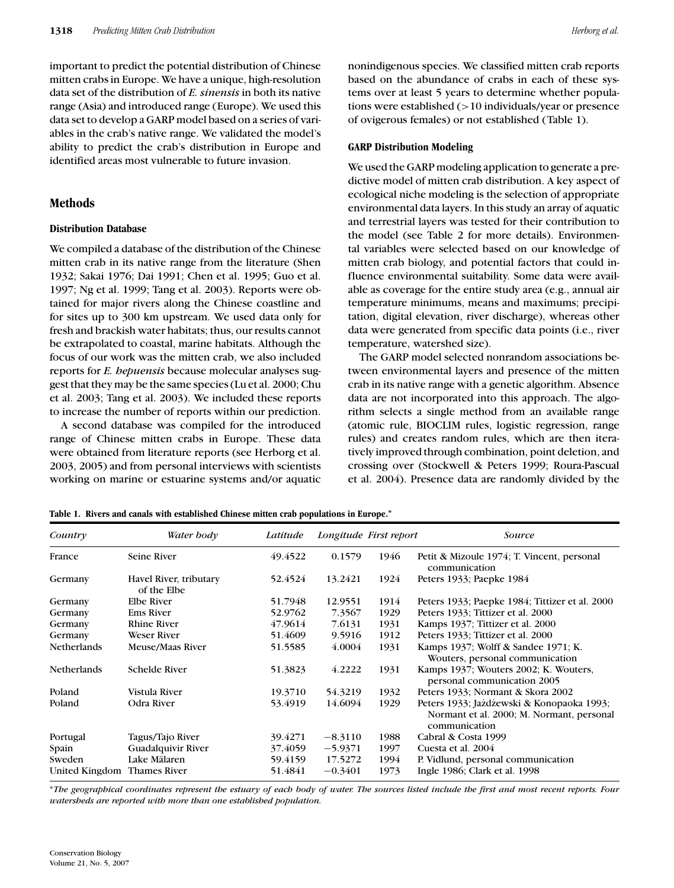important to predict the potential distribution of Chinese mitten crabs in Europe. We have a unique, high-resolution data set of the distribution of *E. sinensis* in both its native range (Asia) and introduced range (Europe). We used this data set to develop a GARP model based on a series of variables in the crab's native range. We validated the model's ability to predict the crab's distribution in Europe and identified areas most vulnerable to future invasion.

## **Methods**

#### **Distribution Database**

We compiled a database of the distribution of the Chinese mitten crab in its native range from the literature (Shen 1932; Sakai 1976; Dai 1991; Chen et al. 1995; Guo et al. 1997; Ng et al. 1999; Tang et al. 2003). Reports were obtained for major rivers along the Chinese coastline and for sites up to 300 km upstream. We used data only for fresh and brackish water habitats; thus, our results cannot be extrapolated to coastal, marine habitats. Although the focus of our work was the mitten crab, we also included reports for *E. hepuensis* because molecular analyses suggest that they may be the same species (Lu et al. 2000; Chu et al. 2003; Tang et al. 2003). We included these reports to increase the number of reports within our prediction.

A second database was compiled for the introduced range of Chinese mitten crabs in Europe. These data were obtained from literature reports (see Herborg et al. 2003, 2005) and from personal interviews with scientists working on marine or estuarine systems and/or aquatic nonindigenous species. We classified mitten crab reports based on the abundance of crabs in each of these systems over at least 5 years to determine whether populations were established (>10 individuals/year or presence of ovigerous females) or not established (Table 1).

## **GARP Distribution Modeling**

We used the GARP modeling application to generate a predictive model of mitten crab distribution. A key aspect of ecological niche modeling is the selection of appropriate environmental data layers. In this study an array of aquatic and terrestrial layers was tested for their contribution to the model (see Table 2 for more details). Environmental variables were selected based on our knowledge of mitten crab biology, and potential factors that could influence environmental suitability. Some data were available as coverage for the entire study area (e.g., annual air temperature minimums, means and maximums; precipitation, digital elevation, river discharge), whereas other data were generated from specific data points (i.e., river temperature, watershed size).

The GARP model selected nonrandom associations between environmental layers and presence of the mitten crab in its native range with a genetic algorithm. Absence data are not incorporated into this approach. The algorithm selects a single method from an available range (atomic rule, BIOCLIM rules, logistic regression, range rules) and creates random rules, which are then iteratively improved through combination, point deletion, and crossing over (Stockwell & Peters 1999; Roura-Pascual et al. 2004). Presence data are randomly divided by the

| Country            | Water body                            | Latitude |           | Longitude First report | Source                                                                                                  |
|--------------------|---------------------------------------|----------|-----------|------------------------|---------------------------------------------------------------------------------------------------------|
| France             | Seine River                           | 49.4522  | 0.1579    | 1946                   | Petit & Mizoule 1974; T. Vincent, personal<br>communication                                             |
| Germany            | Havel River, tributary<br>of the Elbe | 52.4524  | 13.2421   | 1924                   | Peters 1933; Paepke 1984                                                                                |
| Germany            | Elbe River                            | 51.7948  | 12.9551   | 1914                   | Peters 1933; Paepke 1984; Tittizer et al. 2000                                                          |
| Germany            | <b>Ems River</b>                      | 52.9762  | 7.3567    | 1929                   | Peters 1933; Tittizer et al. 2000                                                                       |
| Germany            | <b>Rhine River</b>                    | 47.9614  | 7.6131    | 1931                   | Kamps 1937; Tittizer et al. 2000                                                                        |
| Germany            | <b>Weser River</b>                    | 51.4609  | 9.5916    | 1912                   | Peters 1933; Tittizer et al. 2000                                                                       |
| <b>Netherlands</b> | Meuse/Maas River                      | 51.5585  | 4.0004    | 1931                   | Kamps 1937; Wolff & Sandee 1971; K.<br>Wouters, personal communication                                  |
| <b>Netherlands</b> | <b>Schelde River</b>                  | 51.3823  | 4.2222    | 1931                   | Kamps 1937; Wouters 2002; K. Wouters,<br>personal communication 2005                                    |
| Poland             | Vistula River                         | 19.3710  | 54.3219   | 1932                   | Peters 1933; Normant & Skora 2002                                                                       |
| Poland             | Odra River                            | 53.4919  | 14.6094   | 1929                   | Peters 1933; Jażdżewski & Konopaoka 1993;<br>Normant et al. 2000; M. Normant, personal<br>communication |
| Portugal           | Tagus/Tajo River                      | 39.4271  | $-8.3110$ | 1988                   | Cabral & Costa 1999                                                                                     |
| Spain              | <b>Guadalquivir River</b>             | 37.4059  | $-5.9371$ | 1997                   | Cuesta et al. 2004                                                                                      |
| Sweden             | Lake Mälaren                          | 59.4159  | 17.5272   | 1994                   | P. Vidlund, personal communication                                                                      |
| United Kingdom     | <b>Thames River</b>                   | 51.4841  | $-0.3401$ | 1973                   | Ingle 1986; Clark et al. 1998                                                                           |

**Table 1. Rivers and canals with established Chinese mitten crab populations in Europe.***<sup>∗</sup>*

∗*The geographical coordinates represent the estuary of each body of water. The sources listed include the first and most recent reports. Four watersheds are reported with more than one established population.*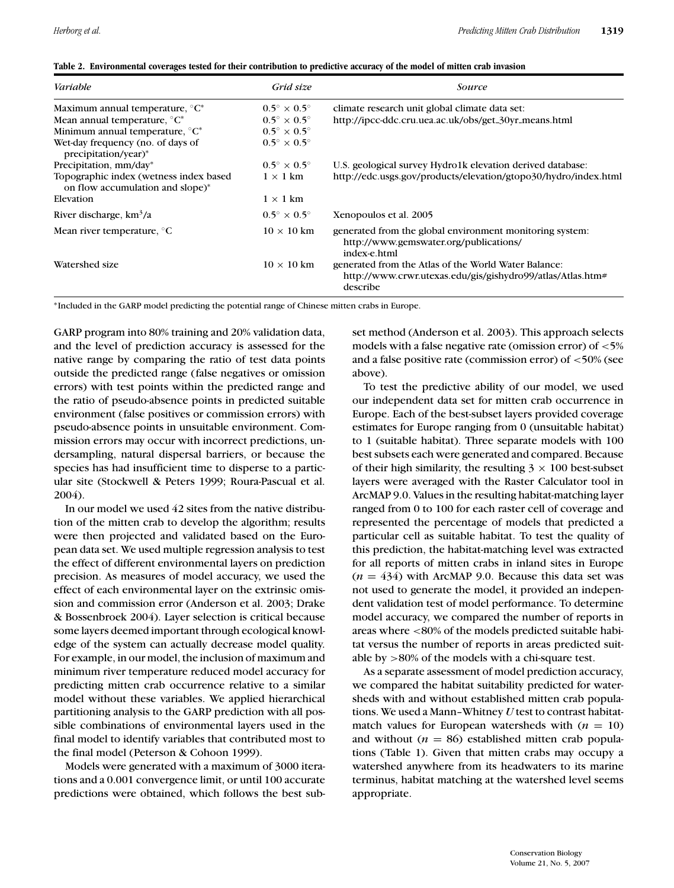|  |  | Table 2. Environmental coverages tested for their contribution to predictive accuracy of the model of mitten crab invasion |  |  |
|--|--|----------------------------------------------------------------------------------------------------------------------------|--|--|
|  |  |                                                                                                                            |  |  |

| Variable                                                                   | Grid size                        | Source                                                                                                                         |
|----------------------------------------------------------------------------|----------------------------------|--------------------------------------------------------------------------------------------------------------------------------|
| Maximum annual temperature, °C*                                            | $0.5^{\circ} \times 0.5^{\circ}$ | climate research unit global climate data set:                                                                                 |
| Mean annual temperature, $^{\circ}C^*$                                     | $0.5^{\circ} \times 0.5^{\circ}$ | http://ipcc-ddc.cru.uea.ac.uk/obs/get_30yr_means.html                                                                          |
| Minimum annual temperature, $^{\circ}C^*$                                  | $0.5^{\circ} \times 0.5^{\circ}$ |                                                                                                                                |
| Wet-day frequency (no. of days of<br>precipitation/year)*                  | $0.5^{\circ} \times 0.5^{\circ}$ |                                                                                                                                |
| Precipitation, mm/day*                                                     | $0.5^{\circ} \times 0.5^{\circ}$ | U.S. geological survey Hydro1k elevation derived database:                                                                     |
| Topographic index (wetness index based<br>on flow accumulation and slope)* | $1 \times 1$ km                  | http://edc.usgs.gov/products/elevation/gtopo30/hydro/index.html                                                                |
| Elevation                                                                  | $1 \times 1$ km                  |                                                                                                                                |
| River discharge, $km^3/a$                                                  | $0.5^{\circ} \times 0.5^{\circ}$ | Xenopoulos et al. 2005                                                                                                         |
| Mean river temperature, $\mathrm{C}$                                       | $10 \times 10$ km                | generated from the global environment monitoring system:<br>http://www.gemswater.org/publications/<br>index-e.html             |
| Watershed size                                                             | $10 \times 10$ km                | generated from the Atlas of the World Water Balance:<br>http://www.crwr.utexas.edu/gis/gishydro99/atlas/Atlas.htm#<br>describe |

∗Included in the GARP model predicting the potential range of Chinese mitten crabs in Europe.

GARP program into 80% training and 20% validation data, and the level of prediction accuracy is assessed for the native range by comparing the ratio of test data points outside the predicted range (false negatives or omission errors) with test points within the predicted range and the ratio of pseudo-absence points in predicted suitable environment (false positives or commission errors) with pseudo-absence points in unsuitable environment. Commission errors may occur with incorrect predictions, undersampling, natural dispersal barriers, or because the species has had insufficient time to disperse to a particular site (Stockwell & Peters 1999; Roura-Pascual et al. 2004).

In our model we used 42 sites from the native distribution of the mitten crab to develop the algorithm; results were then projected and validated based on the European data set. We used multiple regression analysis to test the effect of different environmental layers on prediction precision. As measures of model accuracy, we used the effect of each environmental layer on the extrinsic omission and commission error (Anderson et al. 2003; Drake & Bossenbroek 2004). Layer selection is critical because some layers deemed important through ecological knowledge of the system can actually decrease model quality. For example, in our model, the inclusion of maximum and minimum river temperature reduced model accuracy for predicting mitten crab occurrence relative to a similar model without these variables. We applied hierarchical partitioning analysis to the GARP prediction with all possible combinations of environmental layers used in the final model to identify variables that contributed most to the final model (Peterson & Cohoon 1999).

Models were generated with a maximum of 3000 iterations and a 0.001 convergence limit, or until 100 accurate predictions were obtained, which follows the best subset method (Anderson et al. 2003). This approach selects models with a false negative rate (omission error) of <5% and a false positive rate (commission error) of <50% (see above).

To test the predictive ability of our model, we used our independent data set for mitten crab occurrence in Europe. Each of the best-subset layers provided coverage estimates for Europe ranging from 0 (unsuitable habitat) to 1 (suitable habitat). Three separate models with 100 best subsets each were generated and compared. Because of their high similarity, the resulting  $3 \times 100$  best-subset layers were averaged with the Raster Calculator tool in ArcMAP 9.0. Values in the resulting habitat-matching layer ranged from 0 to 100 for each raster cell of coverage and represented the percentage of models that predicted a particular cell as suitable habitat. To test the quality of this prediction, the habitat-matching level was extracted for all reports of mitten crabs in inland sites in Europe  $(n = 434)$  with ArcMAP 9.0. Because this data set was not used to generate the model, it provided an independent validation test of model performance. To determine model accuracy, we compared the number of reports in areas where <80% of the models predicted suitable habitat versus the number of reports in areas predicted suitable by >80% of the models with a chi-square test.

As a separate assessment of model prediction accuracy, we compared the habitat suitability predicted for watersheds with and without established mitten crab populations. We used a Mann–Whitney *U* test to contrast habitatmatch values for European watersheds with  $(n = 10)$ and without  $(n = 86)$  established mitten crab populations (Table 1). Given that mitten crabs may occupy a watershed anywhere from its headwaters to its marine terminus, habitat matching at the watershed level seems appropriate.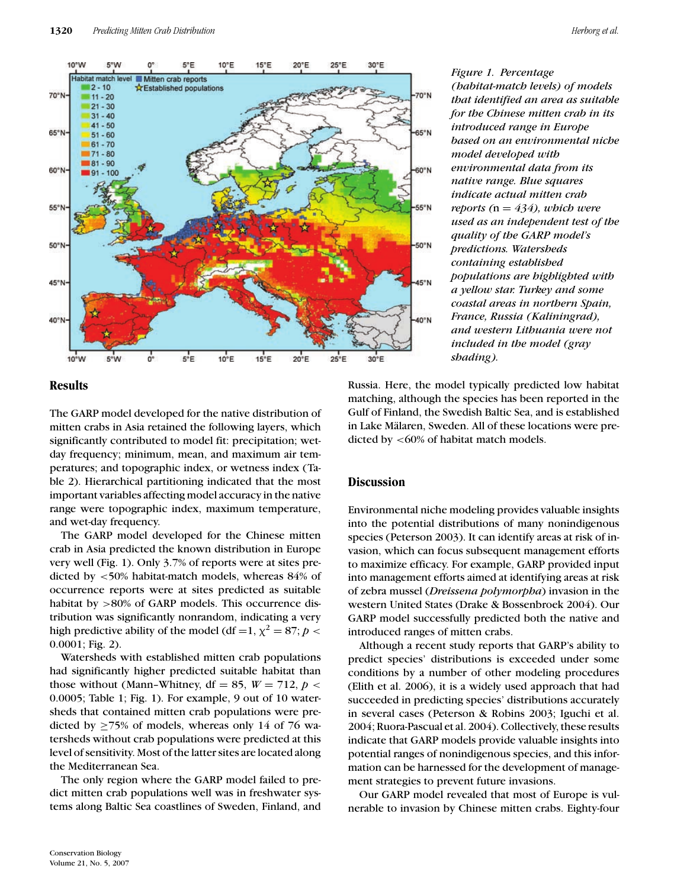

*Figure 1. Percentage (habitat-match levels) of models that identified an area as suitable for the Chinese mitten crab in its introduced range in Europe based on an environmental niche model developed with environmental data from its native range. Blue squares indicate actual mitten crab reports (*n = *434), which were used as an independent test of the quality of the GARP model's predictions. Watersheds containing established populations are highlighted with a yellow star. Turkey and some coastal areas in northern Spain, France, Russia (Kaliningrad), and western Lithuania were not included in the model (gray shading).*

# **Results**

The GARP model developed for the native distribution of mitten crabs in Asia retained the following layers, which significantly contributed to model fit: precipitation; wetday frequency; minimum, mean, and maximum air temperatures; and topographic index, or wetness index (Table 2). Hierarchical partitioning indicated that the most important variables affecting model accuracy in the native range were topographic index, maximum temperature, and wet-day frequency.

The GARP model developed for the Chinese mitten crab in Asia predicted the known distribution in Europe very well (Fig. 1). Only 3.7% of reports were at sites predicted by <50% habitat-match models, whereas 84% of occurrence reports were at sites predicted as suitable habitat by >80% of GARP models. This occurrence distribution was significantly nonrandom, indicating a very high predictive ability of the model (df =1,  $\chi^2 = 87$ ;  $p <$ 0.0001; Fig. 2).

Watersheds with established mitten crab populations had significantly higher predicted suitable habitat than those without (Mann–Whitney, df = 85,  $W = 712$ ,  $p <$ 0.0005; Table 1; Fig. 1). For example, 9 out of 10 watersheds that contained mitten crab populations were predicted by  $\geq$ 75% of models, whereas only 14 of 76 watersheds without crab populations were predicted at this level of sensitivity. Most of the latter sites are located along the Mediterranean Sea.

The only region where the GARP model failed to predict mitten crab populations well was in freshwater systems along Baltic Sea coastlines of Sweden, Finland, and Russia. Here, the model typically predicted low habitat matching, although the species has been reported in the Gulf of Finland, the Swedish Baltic Sea, and is established in Lake Mälaren, Sweden. All of these locations were predicted by <60% of habitat match models.

## **Discussion**

Environmental niche modeling provides valuable insights into the potential distributions of many nonindigenous species (Peterson 2003). It can identify areas at risk of invasion, which can focus subsequent management efforts to maximize efficacy. For example, GARP provided input into management efforts aimed at identifying areas at risk of zebra mussel (*Dreissena polymorpha*) invasion in the western United States (Drake & Bossenbroek 2004). Our GARP model successfully predicted both the native and introduced ranges of mitten crabs.

Although a recent study reports that GARP's ability to predict species' distributions is exceeded under some conditions by a number of other modeling procedures (Elith et al. 2006), it is a widely used approach that had succeeded in predicting species' distributions accurately in several cases (Peterson & Robins 2003; Iguchi et al. 2004; Ruora-Pascual et al. 2004). Collectively, these results indicate that GARP models provide valuable insights into potential ranges of nonindigenous species, and this information can be harnessed for the development of management strategies to prevent future invasions.

Our GARP model revealed that most of Europe is vulnerable to invasion by Chinese mitten crabs. Eighty-four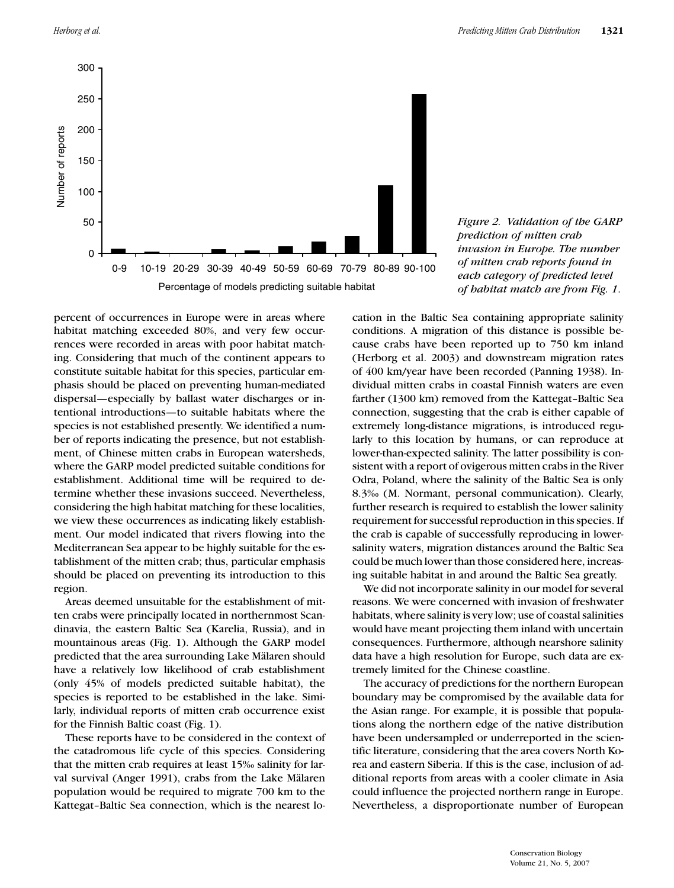

*Figure 2. Validation of the GARP prediction of mitten crab invasion in Europe. The number of mitten crab reports found in each category of predicted level of habitat match are from Fig. 1*.

percent of occurrences in Europe were in areas where habitat matching exceeded 80%, and very few occurrences were recorded in areas with poor habitat matching. Considering that much of the continent appears to constitute suitable habitat for this species, particular emphasis should be placed on preventing human-mediated dispersal—especially by ballast water discharges or intentional introductions—to suitable habitats where the species is not established presently. We identified a number of reports indicating the presence, but not establishment, of Chinese mitten crabs in European watersheds, where the GARP model predicted suitable conditions for establishment. Additional time will be required to determine whether these invasions succeed. Nevertheless, considering the high habitat matching for these localities, we view these occurrences as indicating likely establishment. Our model indicated that rivers flowing into the Mediterranean Sea appear to be highly suitable for the establishment of the mitten crab; thus, particular emphasis should be placed on preventing its introduction to this region.

Areas deemed unsuitable for the establishment of mitten crabs were principally located in northernmost Scandinavia, the eastern Baltic Sea (Karelia, Russia), and in mountainous areas (Fig. 1). Although the GARP model predicted that the area surrounding Lake Mälaren should have a relatively low likelihood of crab establishment (only 45% of models predicted suitable habitat), the species is reported to be established in the lake. Similarly, individual reports of mitten crab occurrence exist for the Finnish Baltic coast (Fig. 1).

These reports have to be considered in the context of the catadromous life cycle of this species. Considering that the mitten crab requires at least 15‰ salinity for larval survival (Anger 1991), crabs from the Lake Mälaren population would be required to migrate 700 km to the Kattegat–Baltic Sea connection, which is the nearest location in the Baltic Sea containing appropriate salinity conditions. A migration of this distance is possible because crabs have been reported up to 750 km inland (Herborg et al. 2003) and downstream migration rates of 400 km/year have been recorded (Panning 1938). Individual mitten crabs in coastal Finnish waters are even farther (1300 km) removed from the Kattegat–Baltic Sea connection, suggesting that the crab is either capable of extremely long-distance migrations, is introduced regularly to this location by humans, or can reproduce at lower-than-expected salinity. The latter possibility is consistent with a report of ovigerous mitten crabs in the River Odra, Poland, where the salinity of the Baltic Sea is only 8.3‰ (M. Normant, personal communication). Clearly, further research is required to establish the lower salinity requirement for successful reproduction in this species. If the crab is capable of successfully reproducing in lowersalinity waters, migration distances around the Baltic Sea could be much lower than those considered here, increasing suitable habitat in and around the Baltic Sea greatly.

We did not incorporate salinity in our model for several reasons. We were concerned with invasion of freshwater habitats, where salinity is very low; use of coastal salinities would have meant projecting them inland with uncertain consequences. Furthermore, although nearshore salinity data have a high resolution for Europe, such data are extremely limited for the Chinese coastline.

The accuracy of predictions for the northern European boundary may be compromised by the available data for the Asian range. For example, it is possible that populations along the northern edge of the native distribution have been undersampled or underreported in the scientific literature, considering that the area covers North Korea and eastern Siberia. If this is the case, inclusion of additional reports from areas with a cooler climate in Asia could influence the projected northern range in Europe. Nevertheless, a disproportionate number of European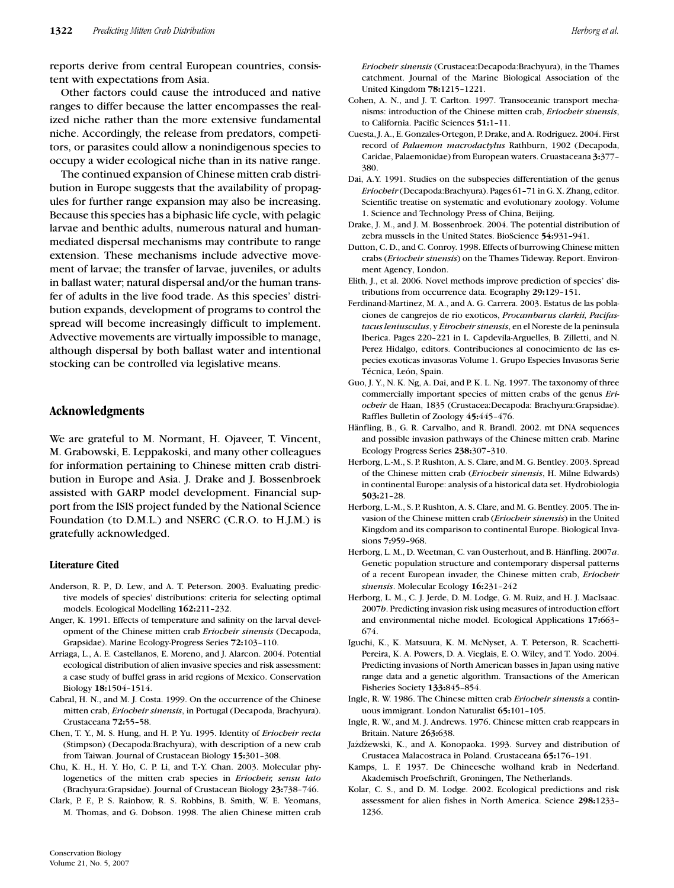reports derive from central European countries, consistent with expectations from Asia.

Other factors could cause the introduced and native ranges to differ because the latter encompasses the realized niche rather than the more extensive fundamental niche. Accordingly, the release from predators, competitors, or parasites could allow a nonindigenous species to occupy a wider ecological niche than in its native range.

The continued expansion of Chinese mitten crab distribution in Europe suggests that the availability of propagules for further range expansion may also be increasing. Because this species has a biphasic life cycle, with pelagic larvae and benthic adults, numerous natural and humanmediated dispersal mechanisms may contribute to range extension. These mechanisms include advective movement of larvae; the transfer of larvae, juveniles, or adults in ballast water; natural dispersal and/or the human transfer of adults in the live food trade. As this species' distribution expands, development of programs to control the spread will become increasingly difficult to implement. Advective movements are virtually impossible to manage, although dispersal by both ballast water and intentional stocking can be controlled via legislative means.

#### **Acknowledgments**

We are grateful to M. Normant, H. Ojaveer, T. Vincent, M. Grabowski, E. Leppakoski, and many other colleagues for information pertaining to Chinese mitten crab distribution in Europe and Asia. J. Drake and J. Bossenbroek assisted with GARP model development. Financial support from the ISIS project funded by the National Science Foundation (to D.M.L.) and NSERC (C.R.O. to H.J.M.) is gratefully acknowledged.

#### **Literature Cited**

- Anderson, R. P., D. Lew, and A. T. Peterson. 2003. Evaluating predictive models of species' distributions: criteria for selecting optimal models. Ecological Modelling **162:**211–232.
- Anger, K. 1991. Effects of temperature and salinity on the larval development of the Chinese mitten crab *Eriocheir sinensis* (Decapoda, Grapsidae). Marine Ecology-Progress Series **72:**103–110.
- Arriaga, L., A. E. Castellanos, E. Moreno, and J. Alarcon. 2004. Potential ecological distribution of alien invasive species and risk assessment: a case study of buffel grass in arid regions of Mexico. Conservation Biology **18:**1504–1514.
- Cabral, H. N., and M. J. Costa. 1999. On the occurrence of the Chinese mitten crab, *Eriocheir sinensis*, in Portugal (Decapoda, Brachyura). Crustaceana **72:**55–58.
- Chen, T. Y., M. S. Hung, and H. P. Yu. 1995. Identity of *Eriocheir recta* (Stimpson) (Decapoda:Brachyura), with description of a new crab from Taiwan. Journal of Crustacean Biology **15:**301–308.
- Chu, K. H., H. Y. Ho, C. P. Li, and T.-Y. Chan. 2003. Molecular phylogenetics of the mitten crab species in *Eriocheir, sensu lato* (Brachyura:Grapsidae). Journal of Crustacean Biology **23:**738–746.

Clark, P. F., P. S. Rainbow, R. S. Robbins, B. Smith, W. E. Yeomans, M. Thomas, and G. Dobson. 1998. The alien Chinese mitten crab *Eriocheir sinensis* (Crustacea:Decapoda:Brachyura), in the Thames catchment. Journal of the Marine Biological Association of the United Kingdom **78:**1215–1221.

- Cohen, A. N., and J. T. Carlton. 1997. Transoceanic transport mechanisms: introduction of the Chinese mitten crab, *Eriocheir sinensis*, to California. Pacific Sciences **51:**1–11.
- Cuesta, J. A., E. Gonzales-Ortegon, P. Drake, and A. Rodriguez. 2004. First record of *Palaemon macrodactylus* Rathburn, 1902 (Decapoda, Caridae, Palaemonidae) from European waters. Cruastaceana **3:**377– 380.
- Dai, A.Y. 1991. Studies on the subspecies differentiation of the genus *Eriocheir* (Decapoda:Brachyura). Pages 61–71 in G. X. Zhang, editor. Scientific treatise on systematic and evolutionary zoology. Volume 1. Science and Technology Press of China, Beijing.
- Drake, J. M., and J. M. Bossenbroek. 2004. The potential distribution of zebra mussels in the United States. BioScience **54:**931–941.
- Dutton, C. D., and C. Conroy. 1998. Effects of burrowing Chinese mitten crabs (*Eriocheir sinensis*) on the Thames Tideway. Report. Environment Agency, London.
- Elith, J., et al. 2006. Novel methods improve prediction of species' distributions from occurrence data. Ecography **29:**129–151.
- Ferdinand-Martinez, M. A., and A. G. Carrera. 2003. Estatus de las poblaciones de cangrejos de rio exoticos, *Procambarus clarkii, Pacifastacus leniusculus*, y *Eirocheir sinensis*, en el Noreste de la peninsula Iberica. Pages 220–221 in L. Capdevila-Arguelles, B. Zilletti, and N. Perez Hidalgo, editors. Contribuciones al conocimiento de las especies exoticas invasoras Volume 1. Grupo Especies Invasoras Serie Técnica, León, Spain.
- Guo, J. Y., N. K. Ng, A. Dai, and P. K. L. Ng. 1997. The taxonomy of three commercially important species of mitten crabs of the genus *Eriocheir* de Haan, 1835 (Crustacea:Decapoda: Brachyura:Grapsidae). Raffles Bulletin of Zoology **45:**445–476.
- Hänfling, B., G. R. Carvalho, and R. Brandl. 2002. mt DNA sequences and possible invasion pathways of the Chinese mitten crab. Marine Ecology Progress Series **238:**307–310.
- Herborg, L.-M., S. P. Rushton, A. S. Clare, and M. G. Bentley. 2003. Spread of the Chinese mitten crab (*Eriocheir sinensis*, H. Milne Edwards) in continental Europe: analysis of a historical data set. Hydrobiologia **503:**21–28.
- Herborg, L.-M., S. P. Rushton, A. S. Clare, and M. G. Bentley. 2005. The invasion of the Chinese mitten crab (*Eriocheir sinensis*) in the United Kingdom and its comparison to continental Europe. Biological Invasions **7:**959–968.
- Herborg, L. M., D. Weetman, C. van Ousterhout, and B. Hänfling. 2007a. Genetic population structure and contemporary dispersal patterns of a recent European invader, the Chinese mitten crab, *Eriocheir sinensis*. Molecular Ecology **16:**231–242
- Herborg, L. M., C. J. Jerde, D. M. Lodge, G. M. Ruiz, and H. J. MacIsaac. 2007*b*. Predicting invasion risk using measures of introduction effort and environmental niche model. Ecological Applications **17:**663– 674.
- Iguchi, K., K. Matsuura, K. M. McNyset, A. T. Peterson, R. Scachetti-Pereira, K. A. Powers, D. A. Vieglais, E. O. Wiley, and T. Yodo. 2004. Predicting invasions of North American basses in Japan using native range data and a genetic algorithm. Transactions of the American Fisheries Society **133:**845–854.
- Ingle, R. W. 1986. The Chinese mitten crab *Eriocheir sinensis* a continuous immigrant. London Naturalist **65:**101–105.
- Ingle, R. W., and M. J. Andrews. 1976. Chinese mitten crab reappears in Britain. Nature **263:**638.
- Jażdżewski, K., and A. Konopaoka. 1993. Survey and distribution of Crustacea Malacostraca in Poland. Crustaceana **65:**176–191.
- Kamps, L. F. 1937. De Chineesche wolhand krab in Nederland. Akademisch Proefschrift, Groningen, The Netherlands.
- Kolar, C. S., and D. M. Lodge. 2002. Ecological predictions and risk assessment for alien fishes in North America. Science **298:**1233– 1236.